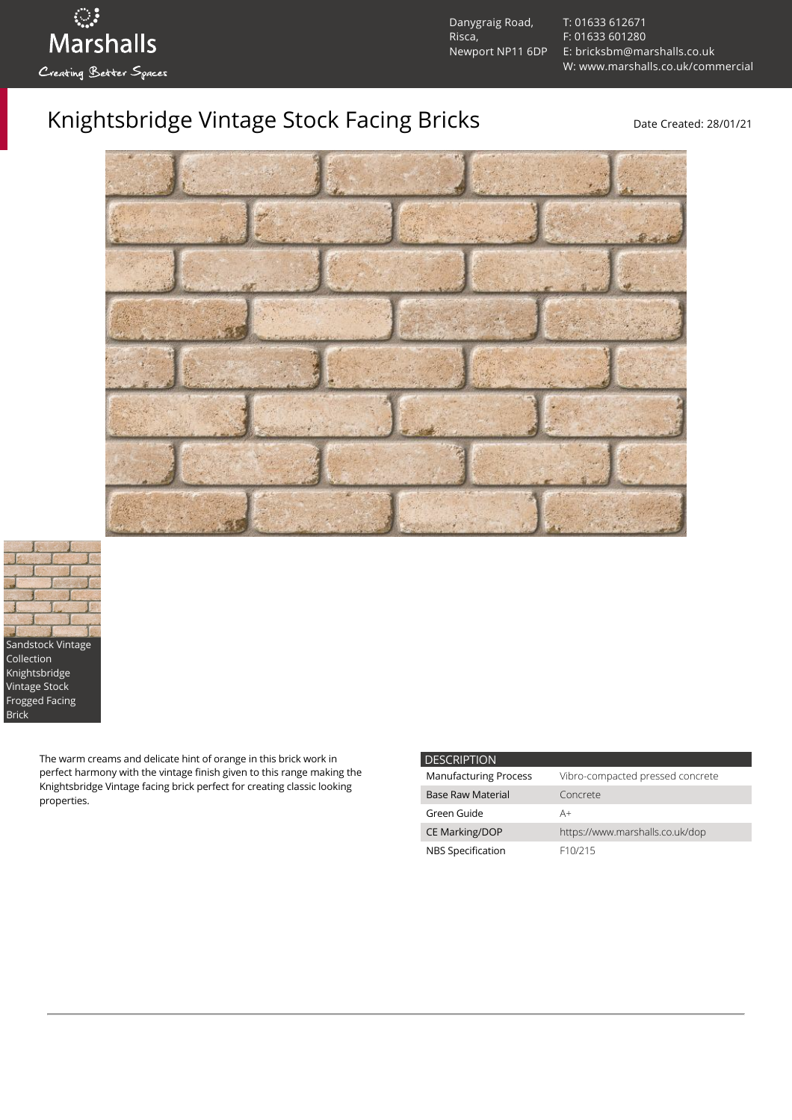

Danygraig Road, Risca, Newport NP11 6DP [T: 01633 612671](tel:01633%20612671) [F: 01633 601280](tel:01633%20601280) [E: bricksbm@marshalls.co.uk](mailto:bricksbm@marshalls.co.uk) [W: www.marshalls.co.uk/commercial](https://www.marshalls.co.uk/commercial)

## Knightsbridge Vintage Stock Facing Bricks Date Created: 28/01/21





The warm creams and delicate hint of orange in this brick work in perfect harmony with the vintage finish given to this range making the Knightsbridge Vintage facing brick perfect for creating classic looking properties.

| <b>DESCRIPTION</b>           |                                  |
|------------------------------|----------------------------------|
| <b>Manufacturing Process</b> | Vibro-compacted pressed concrete |
| <b>Base Raw Material</b>     | Concrete                         |
| Green Guide                  | A+                               |
| <b>CE Marking/DOP</b>        | https://www.marshalls.co.uk/dop  |
| NBS Specification            | F <sub>10</sub> /215             |